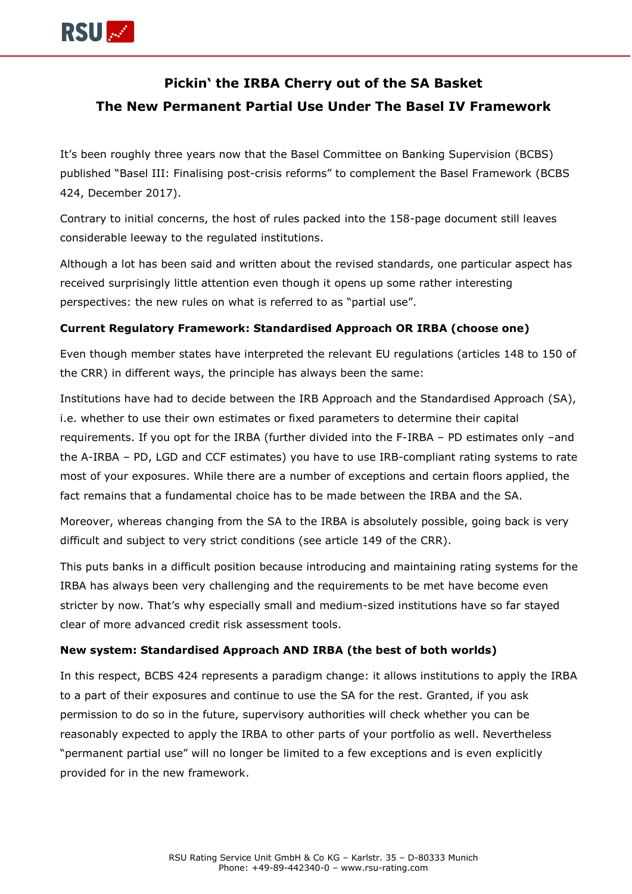

# **Pickin' the IRBA Cherry out of the SA Basket The New Permanent Partial Use Under The Basel IV Framework**

It's been roughly three years now that the Basel Committee on Banking Supervision (BCBS) published "Basel III: Finalising post-crisis reforms" to complement the Basel Framework (BCBS 424, December 2017).

Contrary to initial concerns, the host of rules packed into the 158-page document still leaves considerable leeway to the regulated institutions.

Although a lot has been said and written about the revised standards, one particular aspect has received surprisingly little attention even though it opens up some rather interesting perspectives: the new rules on what is referred to as "partial use".

## **Current Regulatory Framework: Standardised Approach OR IRBA (choose one)**

Even though member states have interpreted the relevant EU regulations (articles 148 to 150 of the CRR) in different ways, the principle has always been the same:

Institutions have had to decide between the IRB Approach and the Standardised Approach (SA), i.e. whether to use their own estimates or fixed parameters to determine their capital requirements. If you opt for the IRBA (further divided into the F-IRBA – PD estimates only –and the A-IRBA – PD, LGD and CCF estimates) you have to use IRB-compliant rating systems to rate most of your exposures. While there are a number of exceptions and certain floors applied, the fact remains that a fundamental choice has to be made between the IRBA and the SA.

Moreover, whereas changing from the SA to the IRBA is absolutely possible, going back is very difficult and subject to very strict conditions (see article 149 of the CRR).

This puts banks in a difficult position because introducing and maintaining rating systems for the IRBA has always been very challenging and the requirements to be met have become even stricter by now. That's why especially small and medium-sized institutions have so far stayed clear of more advanced credit risk assessment tools.

### **New system: Standardised Approach AND IRBA (the best of both worlds)**

In this respect, BCBS 424 represents a paradigm change: it allows institutions to apply the IRBA to a part of their exposures and continue to use the SA for the rest. Granted, if you ask permission to do so in the future, supervisory authorities will check whether you can be reasonably expected to apply the IRBA to other parts of your portfolio as well. Nevertheless "permanent partial use" will no longer be limited to a few exceptions and is even explicitly provided for in the new framework.